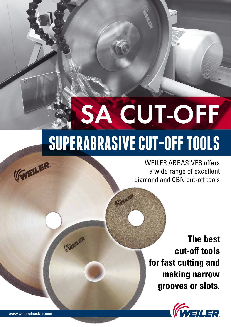# **SUPERABRASIVE CUT-OFF TOOLS** SA CUT-OFF

**IGER** 

(GVEILER

WEILER ABRASIVES offers a wide range of excellent diamond and CBN cut-off tools

> **The best cut-off tools for fast cutting and making narrow grooves or slots.**



**www.weilerabrasives.com**

(FIVEILER